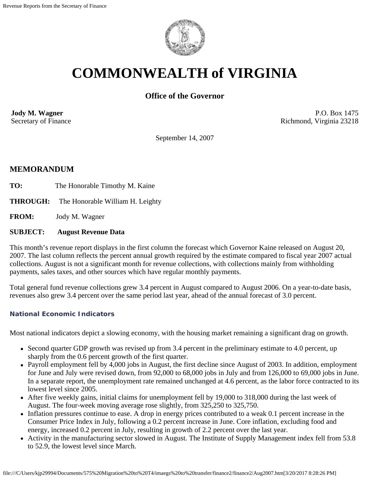

# **COMMONWEALTH of VIRGINIA**

## **Office of the Governor**

**Jody M. Wagner**  Secretary of Finance

P.O. Box 1475 Richmond, Virginia 23218

September 14, 2007

## **MEMORANDUM**

- TO: The Honorable Timothy M. Kaine
- **THROUGH:** The Honorable William H. Leighty

**FROM:** Jody M. Wagner

#### **SUBJECT: August Revenue Data**

This month's revenue report displays in the first column the forecast which Governor Kaine released on August 20, 2007. The last column reflects the percent annual growth required by the estimate compared to fiscal year 2007 actual collections. August is not a significant month for revenue collections, with collections mainly from withholding payments, sales taxes, and other sources which have regular monthly payments.

Total general fund revenue collections grew 3.4 percent in August compared to August 2006. On a year-to-date basis, revenues also grew 3.4 percent over the same period last year, ahead of the annual forecast of 3.0 percent.

#### **National Economic Indicators**

Most national indicators depict a slowing economy, with the housing market remaining a significant drag on growth.

- Second quarter GDP growth was revised up from 3.4 percent in the preliminary estimate to 4.0 percent, up sharply from the 0.6 percent growth of the first quarter.
- Payroll employment fell by 4,000 jobs in August, the first decline since August of 2003. In addition, employment for June and July were revised down, from 92,000 to 68,000 jobs in July and from 126,000 to 69,000 jobs in June. In a separate report, the unemployment rate remained unchanged at 4.6 percent, as the labor force contracted to its lowest level since 2005.
- After five weekly gains, initial claims for unemployment fell by 19,000 to 318,000 during the last week of August. The four-week moving average rose slightly, from 325,250 to 325,750.
- Inflation pressures continue to ease. A drop in energy prices contributed to a weak 0.1 percent increase in the Consumer Price Index in July, following a 0.2 percent increase in June. Core inflation, excluding food and energy, increased 0.2 percent in July, resulting in growth of 2.2 percent over the last year.
- Activity in the manufacturing sector slowed in August. The Institute of Supply Management index fell from 53.8 to 52.9, the lowest level since March.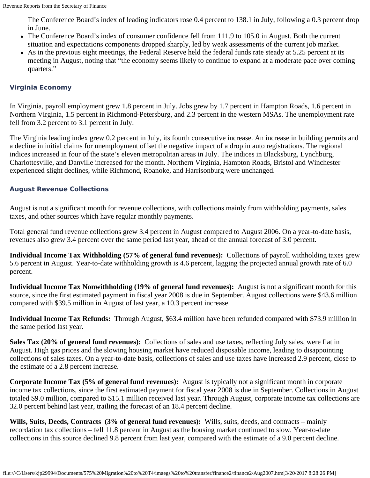The Conference Board's index of leading indicators rose 0.4 percent to 138.1 in July, following a 0.3 percent drop in June.

- The Conference Board's index of consumer confidence fell from 111.9 to 105.0 in August. Both the current situation and expectations components dropped sharply, led by weak assessments of the current job market.
- As in the previous eight meetings, the Federal Reserve held the federal funds rate steady at 5.25 percent at its meeting in August, noting that "the economy seems likely to continue to expand at a moderate pace over coming quarters."

### **Virginia Economy**

In Virginia, payroll employment grew 1.8 percent in July. Jobs grew by 1.7 percent in Hampton Roads, 1.6 percent in Northern Virginia, 1.5 percent in Richmond-Petersburg, and 2.3 percent in the western MSAs. The unemployment rate fell from 3.2 percent to 3.1 percent in July.

The Virginia leading index grew 0.2 percent in July, its fourth consecutive increase. An increase in building permits and a decline in initial claims for unemployment offset the negative impact of a drop in auto registrations. The regional indices increased in four of the state's eleven metropolitan areas in July. The indices in Blacksburg, Lynchburg, Charlottesville, and Danville increased for the month. Northern Virginia, Hampton Roads, Bristol and Winchester experienced slight declines, while Richmond, Roanoke, and Harrisonburg were unchanged.

#### **August Revenue Collections**

August is not a significant month for revenue collections, with collections mainly from withholding payments, sales taxes, and other sources which have regular monthly payments.

Total general fund revenue collections grew 3.4 percent in August compared to August 2006. On a year-to-date basis, revenues also grew 3.4 percent over the same period last year, ahead of the annual forecast of 3.0 percent.

**Individual Income Tax Withholding (57% of general fund revenues):** Collections of payroll withholding taxes grew 5.6 percent in August. Year-to-date withholding growth is 4.6 percent, lagging the projected annual growth rate of 6.0 percent.

**Individual Income Tax Nonwithholding (19% of general fund revenues):** August is not a significant month for this source, since the first estimated payment in fiscal year 2008 is due in September. August collections were \$43.6 million compared with \$39.5 million in August of last year, a 10.3 percent increase.

**Individual Income Tax Refunds:** Through August, \$63.4 million have been refunded compared with \$73.9 million in the same period last year.

**Sales Tax (20% of general fund revenues):** Collections of sales and use taxes, reflecting July sales, were flat in August. High gas prices and the slowing housing market have reduced disposable income, leading to disappointing collections of sales taxes. On a year-to-date basis, collections of sales and use taxes have increased 2.9 percent, close to the estimate of a 2.8 percent increase.

**Corporate Income Tax (5% of general fund revenues):** August is typically not a significant month in corporate income tax collections, since the first estimated payment for fiscal year 2008 is due in September. Collections in August totaled \$9.0 million, compared to \$15.1 million received last year. Through August, corporate income tax collections are 32.0 percent behind last year, trailing the forecast of an 18.4 percent decline.

**Wills, Suits, Deeds, Contracts (3% of general fund revenues):** Wills, suits, deeds, and contracts – mainly recordation tax collections – fell 11.8 percent in August as the housing market continued to slow. Year-to-date collections in this source declined 9.8 percent from last year, compared with the estimate of a 9.0 percent decline.